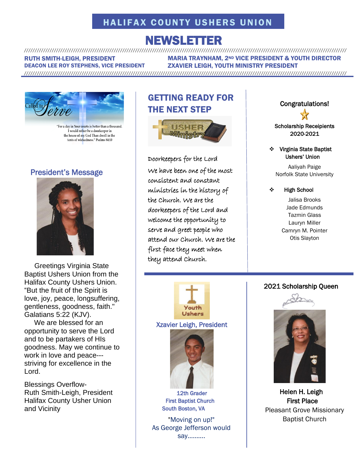# HALIFAX COUNTY USHERS UNION

### NEWSLETTER ///////////////////////////////////////////////////////////////////////////////////////////////////////////////////////////////////////////////////////

RUTH SMITH-LEIGH, PRESIDENT DEACON LEE ROY STEPHENS, VICE PRESIDENT MARIA TRAYNHAM, 2ND VICE PRESIDENT & YOUTH DIRECTOR ZXAVIER LEIGH, YOUTH MINISTRY PRESIDENT

///////////////////////////////////////////////////////////////////////////////////////////////////////////////////////////////////////////////////////



"For a day in Your courts is better than a thousand. I would rather be a doorkeeper in the house of my God Than dwell in the tents of wickedness." Psalms 84:10

## President's Message



 Greetings Virginia State Baptist Ushers Union from the Halifax County Ushers Union. "But the fruit of the Spirit is love, joy, peace, longsuffering, gentleness, goodness, faith." Galatians 5:22 (KJV).

 We are blessed for an opportunity to serve the Lord and to be partakers of HIs goodness. May we continue to work in love and peace-- striving for excellence in the Lord.

Blessings Overflow-Ruth Smith-Leigh, President Halifax County Usher Union and Vicinity

# GETTING READY FOR THE NEXT STEP



Doorkeepers for the Lord We have been one of the most consistent and constant ministries in the history of the Church. We are the doorkeepers of the Lord and welcome the opportunity to serve and greet people who attend our Church. We are the first face they meet when they attend Church.



Scholarshi[p R](https://fr.wikipedia.org/wiki/Fichier:Award_star_(gold).png)eceipients 202[0-2](https://fr.wikipedia.org/wiki/Fichier:Award_star_(gold).png)021

#### ❖ Virginia S[tat](https://fr.wikipedia.org/wiki/Fichier:Award_star_(gold).png)e Baptist Ushers[' U](https://fr.wikipedia.org/wiki/Fichier:Award_star_(gold).png)nion

Aaliya[h P](https://fr.wikipedia.org/wiki/Fichier:Award_star_(gold).png)aige Norfolk Sta[te](https://fr.wikipedia.org/wiki/Fichier:Award_star_(gold).png) University

#### ❖ High School

Jalisa Brooks Jade Edmunds Tazmin Glass Lauryn Miller Camryn M. Pointer Otis Slayton

#### 2021 Scholarship Queen



 Helen [H. L](https://creativecommons.org/licenses/by-sa/3.0/)eigh First Place Pleasant Grove Missionary Baptist Church



South Boston, VA

"Moving on up!" As George Jefferson would say……….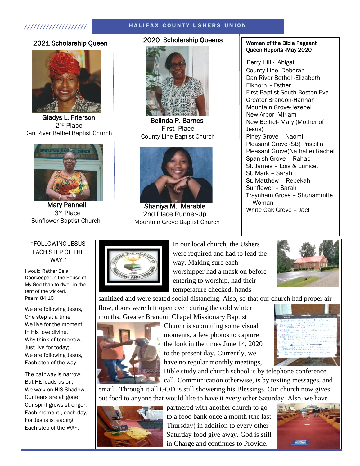#### //////////////////// H A L I F A X C O U N T Y U S H E R S U N I O N

#### 2021 Scholarship Queen



Gladys L. Frierson 2nd Place Dan River Bethel Baptist Church



 Mary Pannell 3rd Place Sunflower Baptist Church

#### 2020 Scholarship Queens



 Belinda P. Barnes First Place County Line Baptist Church



 Shaniya M. Marable 2nd Place Runner-Up Mountain Grove Baptist Church

#### Women of the Bible Pageant Queen Reports -May 2020

Berry Hill - Abigail County Line -Deborah Dan River Bethel -Elizabeth Elkhorn - Esther First Baptist-South Boston-Eve Greater Brandon-Hannah Mountain Grove-Jezebel New Arbor- Miriam New Bethel- Mary (Mother of Jesus) Piney Grove – Naomi, Pleasant Grove (SB) Priscilla Pleasant Grove(Nathalie) Rachel Spanish Grove – Rahab St. James – Lois & Eunice, St. Mark – Sarah St. Matthew – Rebekah Sunflower – Sarah Traynham Grove – Shunammite Woman White Oak Grove – Jael

#### "FOLLOWING JESUS EACH STEP OF THE WAY."

I would Rather Be a Doorkeeper in the House of My God than to dwell in the tent of the wicked. Psalm 84:10

We are following Jesus, One step at a time We live for the moment, In His love divine, Why think of tomorrow, Just live for today; We are following Jesus, Each step of the way.

The pathway is narrow, But HE leads us on; We walk on HIS Shadow, Our fears are all gone. Our spirit grows stronger, Each moment , each day, For Jesus is leading Each step of the WAY.



In our local church, the Ushers were required and had to lead the way. Making sure each worshipper had a mask on before entering to worship, had their temperature checked, hands



sanitized and were seated social distancing. Also, so that our church had proper air

flow, doors were left open even during the cold winter months. Greater Brandon Chapel Missionary Baptist



Church is submitting some visual moments, a few photos to capture the look in the times June 14, 2020 to the present day. Currently, we have no regular monthly meetings,



Bible study and church school is by telephone conference call. Communication otherwise, is by texting messages, and

email. Through it all GOD is still showering his Blessings. Our church now gives out food to anyone that would like to have it every other Saturday. Also, we have



partnered with another church to go to a food bank once a month (the last Thursday) in addition to every other Saturday food give away. God is still in Charge and continues to Provide.

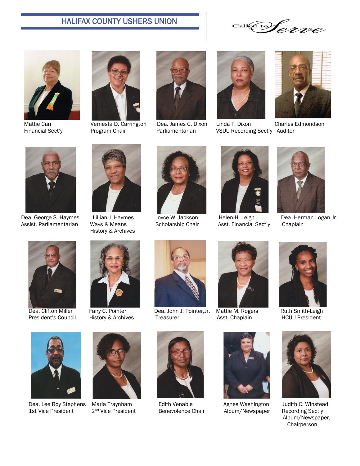# HALIFAX COUNTY USHERS UNION

Call@to Croe









Mattie Carr **Vernesta D. Carrington** Dea. James C. Dixon Linda T. Dixon Charles Edmondson Financial Sect'y **Program Chair** Parliamentarian VSUU Recording Sect'y Auditor





Dea. George S. Haymes Lillian J. Haymes Joyce W. Jackson Helen H. Leigh Dea. Herman Logan, Jr. Assist. Parliamentarian Ways & Means Scholarship Chair Asst. Financial Sect'y Chaplain



History & Archives















Dea. Clifton Miller Fairy C. Pointer Dea. John J. Pointer, Jr. Mattie M. Rogers Ruth Smith-Leigh<br>President's Council History & Archives Treasurer Asst. Chaplain HCUU President President's Council History & Archives Treasurer Asst. Chaplain







Dea. Lee Roy Stephens Maria Traynham Edith Venable Agnes Washington Judith C. Winstead<br>1st Vice President 2<sup>nd</sup> Vice President Benevolence Chair Album/Newspaper Recording Sect'y







Album/Newspaper



 Album/Newspaper, Chairperson